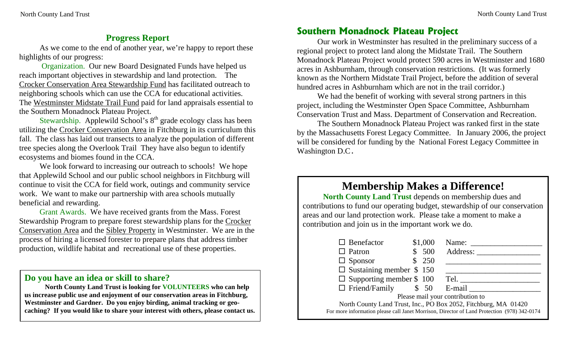#### **Progress Report**

As we come to the end of another year, we're happy to report these highlights of our progress:

Organization. Our new Board Designated Funds have helped us reach important objectives in stewardship and land protection. The Crocker Conservation Area Stewardship Fund has facilitated outreach to neighboring schools which can use the CCA for educational activities. The Westminster Midstate Trail Fund paid for land appraisals essential to the Southern Monadnock Plateau Project.

Stewardship. Applewild School's 8<sup>th</sup> grade ecology class has been utilizing the Crocker Conservation Area in Fitchburg in its curriculum this fall. The class has laid out transects to analyze the population of different tree species along the Overlook Trail They have also begun to identify ecosystems and biomes found in the CCA.

We look forward to increasing our outreach to schools! We hope that Applewild School and our public school neighbors in Fitchburg will continue to visit the CCA for field work, outings and community service work. We want to make our partnership with area schools mutually beneficial and rewarding.

Grant Awards. We have received grants from the Mass. Forest Stewardship Program to prepare forest stewardship plans for the Crocker Conservation Area and the Sibley Property in Westminster. We are in the process of hiring a licensed forester to prepare plans that address timber production, wildlife habitat and recreational use of these properties.

#### **Do you have an idea or skill to share?**

**North County Land Trust is looking for VOLUNTEERS who can help us increase public use and enjoyment of our conservation areas in Fitchburg, Westminster and Gardner. Do you enjoy birding, animal tracking or geocaching? If you would like to share your interest with others, please contact us.** 

### **Southern Monadnock Plateau Project**

Our work in Westminster has resulted in the preliminary success of a regional project to protect land along the Midstate Trail. The Southern Monadnock Plateau Project would protect 590 acres in Westminster and 1680 acres in Ashburnham, through conservation restrictions. (It was formerly known as the Northern Midstate Trail Project, before the addition of several hundred acres in Ashburnham which are not in the trail corridor.)

We had the benefit of working with several strong partners in this project, including the Westminster Open Space Committee, Ashburnham Conservation Trust and Mass. Department of Conservation and Recreation.

The Southern Monadnock Plateau Project was ranked first in the state by the Massachusetts Forest Legacy Committee. In January 2006, the project will be considered for funding by the National Forest Legacy Committee in Washington D.C**.** 

# **Membership Makes a Difference!**

**North County Land Trust** depends on membership dues and contributions to fund our operating budget, stewardship of our conservation areas and our land protection work. Please take a moment to make a contribution and join us in the important work we do.

| $\Box$ Benefactor                                                                           |  | \$1,000 | Name:    |
|---------------------------------------------------------------------------------------------|--|---------|----------|
| $\Box$ Patron                                                                               |  | \$500   | Address: |
| $\Box$ Sponsor                                                                              |  | \$250   |          |
| $\Box$ Sustaining member \$ 150                                                             |  |         |          |
| $\Box$ Supporting member \$ 100                                                             |  |         | Tel.     |
| $\Box$ Friend/Family $\qquad$ \$ 50                                                         |  |         | E-mail   |
| Please mail your contribution to                                                            |  |         |          |
| North County Land Trust, Inc., PO Box 2052, Fitchburg, MA 01420                             |  |         |          |
| For more information please call Janet Morrison, Director of Land Protection (978) 342-0174 |  |         |          |